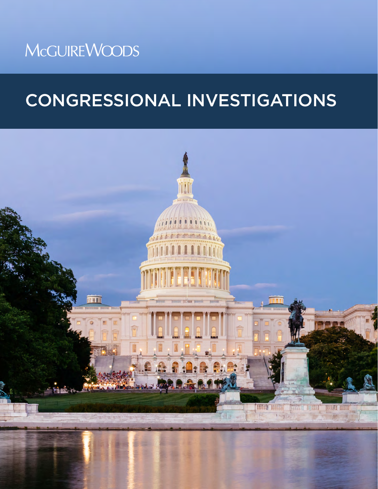# **McGUIREWOODS**

# CONGRESSIONAL INVESTIGATIONS

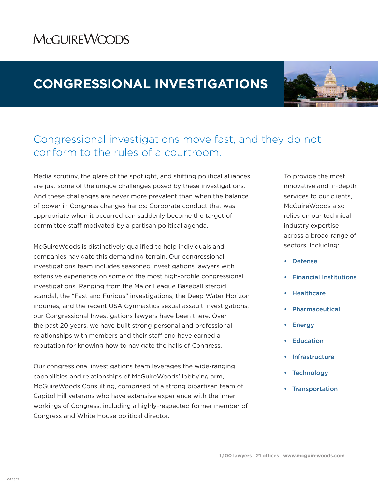### **MCGUIREWOODS**

### **CONGRESSIONAL INVESTIGATIONS**



### Congressional investigations move fast, and they do not conform to the rules of a courtroom.

Media scrutiny, the glare of the spotlight, and shifting political alliances are just some of the unique challenges posed by these investigations. And these challenges are never more prevalent than when the balance of power in Congress changes hands: Corporate conduct that was appropriate when it occurred can suddenly become the target of committee staff motivated by a partisan political agenda.

McGuireWoods is distinctively qualified to help individuals and companies navigate this demanding terrain. Our congressional investigations team includes seasoned investigations lawyers with extensive experience on some of the most high-profile congressional investigations. Ranging from the Major League Baseball steroid scandal, the "Fast and Furious" investigations, the Deep Water Horizon inquiries, and the recent USA Gymnastics sexual assault investigations, our Congressional Investigations lawyers have been there. Over the past 20 years, we have built strong personal and professional relationships with members and their staff and have earned a reputation for knowing how to navigate the halls of Congress.

Our congressional investigations team leverages the wide-ranging capabilities and relationships of McGuireWoods' lobbying arm, McGuireWoods Consulting, comprised of a strong bipartisan team of Capitol Hill veterans who have extensive experience with the inner workings of Congress, including a highly-respected former member of Congress and White House political director.

To provide the most innovative and in-depth services to our clients, McGuireWoods also relies on our technical industry expertise across a broad range of sectors, including:

- Defense
- Financial Institutions
- **Healthcare**
- **Pharmaceutical**
- **Energy**
- **Education**
- **Infrastructure**
- **Technology**
- Transportation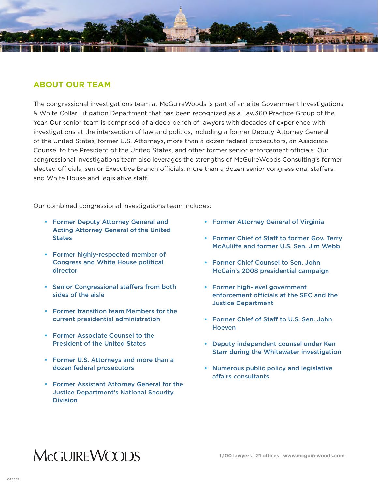

#### **ABOUT OUR TEAM**

The congressional investigations team at McGuireWoods is part of an elite Government Investigations & White Collar Litigation Department that has been recognized as a Law360 Practice Group of the Year. Our senior team is comprised of a deep bench of lawyers with decades of experience with investigations at the intersection of law and politics, including a former Deputy Attorney General of the United States, former U.S. Attorneys, more than a dozen federal prosecutors, an Associate Counsel to the President of the United States, and other former senior enforcement officials. Our congressional investigations team also leverages the strengths of McGuireWoods Consulting's former elected officials, senior Executive Branch officials, more than a dozen senior congressional staffers, and White House and legislative staff.

Our combined congressional investigations team includes:

- **•** Former Deputy Attorney General and Acting Attorney General of the United **States**
- **•** Former highly-respected member of Congress and White House political director
- **•** Senior Congressional staffers from both sides of the aisle
- **•** Former transition team Members for the current presidential administration
- **•** Former Associate Counsel to the President of the United States
- **•** Former U.S. Attorneys and more than a dozen federal prosecutors
- **•** Former Assistant Attorney General for the Justice Department's National Security **Division**
- **•** Former Attorney General of Virginia
- **•** Former Chief of Staff to former Gov. Terry McAuliffe and former U.S. Sen. Jim Webb
- **•** Former Chief Counsel to Sen. John McCain's 2008 presidential campaign
- **•** Former high-level government enforcement officials at the SEC and the Justice Department
- **•** Former Chief of Staff to U.S. Sen. John **Hoeven**
- **•** Deputy independent counsel under Ken Starr during the Whitewater investigation
- **•** Numerous public policy and legislative affairs consultants

## **MCGUIREWOODS**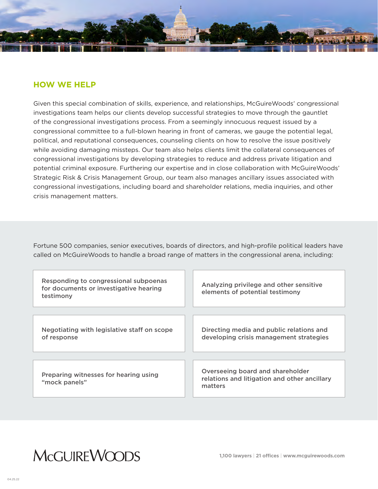

#### **HOW WE HELP**

Given this special combination of skills, experience, and relationships, McGuireWoods' congressional investigations team helps our clients develop successful strategies to move through the gauntlet of the congressional investigations process. From a seemingly innocuous request issued by a congressional committee to a full-blown hearing in front of cameras, we gauge the potential legal, political, and reputational consequences, counseling clients on how to resolve the issue positively while avoiding damaging missteps. Our team also helps clients limit the collateral consequences of congressional investigations by developing strategies to reduce and address private litigation and potential criminal exposure. Furthering our expertise and in close collaboration with McGuireWoods' Strategic Risk & Crisis Management Group, our team also manages ancillary issues associated with congressional investigations, including board and shareholder relations, media inquiries, and other crisis management matters.

Fortune 500 companies, senior executives, boards of directors, and high-profile political leaders have called on McGuireWoods to handle a broad range of matters in the congressional arena, including:

| Responding to congressional subpoenas<br>for documents or investigative hearing<br>testimony | Analyzing privilege and other sensitive<br>elements of potential testimony                  |
|----------------------------------------------------------------------------------------------|---------------------------------------------------------------------------------------------|
|                                                                                              |                                                                                             |
| Negotiating with legislative staff on scope<br>of response                                   | Directing media and public relations and<br>developing crisis management strategies         |
|                                                                                              |                                                                                             |
| Preparing witnesses for hearing using<br>"mock panels"                                       | Overseeing board and shareholder<br>relations and litigation and other ancillary<br>matters |

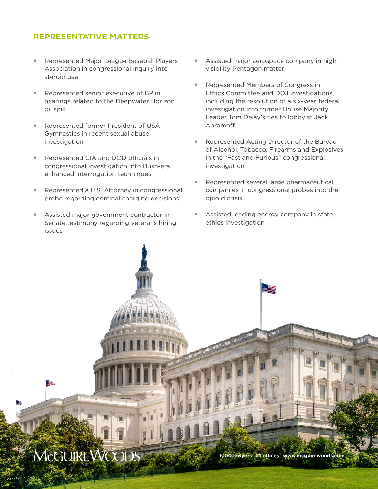#### **REPRESENTATIVE MATTERS**

- Represented Major League Baseball Players Association in congressional inquiry into steroid use
- Represented senior executive of BP in hearings related to the Deepwater Horizon oil spill
- Represented former President of USA Gymnastics in recent sexual abuse investigation
- Represented CIA and DOD officials in congressional investigation into Bush-era enhanced interrogation techniques
- Represented a U.S. Attorney in congressional probe regarding criminal charging decisions
- Assisted major government contractor in Senate testimony regarding veterans hiring issues
- Assisted major aerospace company in highvisibility Pentagon matter
- Represented Members of Congress in Ethics Committee and DOJ investigations, including the resolution of a six-year federal investigation into former House Majority Leader Tom Delay's ties to lobbyist Jack Abramoff
- Represented Acting Director of the Bureau of Alcohol, Tobacco, Firearms and Explosives in the "Fast and Furious" congressional investigation
- Represented several large pharmaceutical companies in congressional probes into the opioid crisis
- Assisted leading energy company in state ethics investigation



04.25.22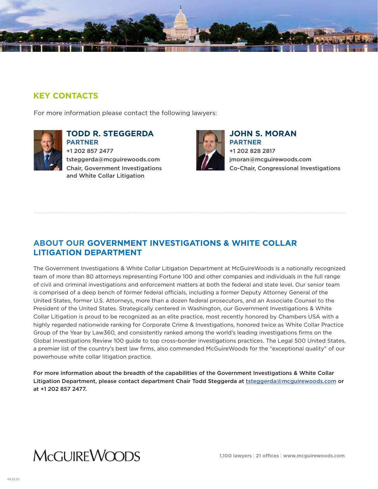

#### **KEY CONTACTS**

For more information please contact the following lawyers:



**TODD R. STEGGERDA PARTNER** +1 202 857 2477 tsteggerda@mcguirewoods.com Chair, Government Investigations and White Collar Litigation



**JOHN S. MORAN PARTNER** +1 202 828 2817 jmoran@mcguirewoods.com Co-Chair, Congressional Investigations

#### **ABOUT OUR GOVERNMENT INVESTIGATIONS & WHITE COLLAR LITIGATION DEPARTMENT**

The Government Investigations & White Collar Litigation Department at McGuireWoods is a nationally recognized team of more than 80 attorneys representing Fortune 100 and other companies and individuals in the full range of civil and criminal investigations and enforcement matters at both the federal and state level. Our senior team is comprised of a deep bench of former federal officials, including a former Deputy Attorney General of the United States, former U.S. Attorneys, more than a dozen federal prosecutors, and an Associate Counsel to the President of the United States. Strategically centered in Washington, our Government Investigations & White Collar Litigation is proud to be recognized as an elite practice, most recently honored by Chambers USA with a highly regarded nationwide ranking for Corporate Crime & Investigations, honored twice as White Collar Practice Group of the Year by Law360, and consistently ranked among the world's leading investigations firms on the Global Investigations Review 100 guide to top cross-border investigations practices. The Legal 500 United States, a premier list of the country's best law firms, also commended McGuireWoods for the "exceptional quality" of our powerhouse white collar litigation practice.

For more information about the breadth of the capabilities of the Government Investigations & White Collar Litigation Department, please contact department Chair Todd Steggerda at [tsteggerda@mcguirewoods.com](mailto:tsteggerda%40mcguirewoods.com?subject=) or at +1 202 857 2477.

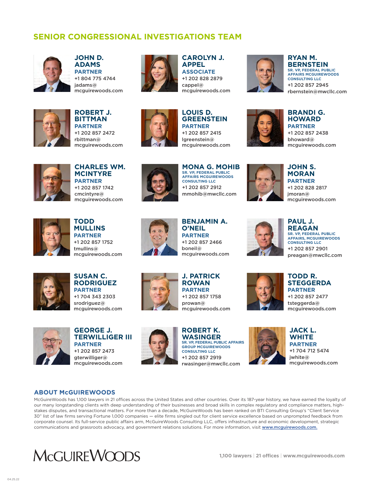#### **SENIOR CONGRESSIONAL INVESTIGATIONS TEAM**



**JOHN D. ADAMS PARTNER** +1 804 775 4744 jadams@ mcguirewoods.com



**CAROLYN J. APPEL ASSOCIATE** +1 202 828 2879 cappel@ mcguirewoods.com



**RYAN M. BERNSTEIN SR. VP, FEDERAL PUBLIC AFFAIRS MCGUIREWOODS CONSULTING LLC** +1 202 857 2945 rbernstein@mwcllc.com



**ROBERT J. BITTMAN PARTNER** +1 202 857 2472 rbittman@ mcguirewoods.com



**LOUIS D. GREENSTEIN PARTNER** +1 202 857 2415 lgreenstein@ mcguirewoods.com



**BRANDI G. HOWARD PARTNER** +1 202 857 2438 bhoward@ mcguirewoods.com



**CHARLES WM. MCINTYRE PARTNER** +1 202 857 1742 cmcintyre@ mcguirewoods.com



**MONA G. MOHIB SR. VP, FEDERAL PUBLIC AFFAIRS MCGUIREWOODS CONSULTING LLC** +1 202 857 2912 mmohib@mwcllc.com



**JOHN S. MORAN PARTNER** +1 202 828 2817 jmoran@ mcguirewoods.com



**TODD MULLINS PARTNER** +1 202 857 1752 tmullins@ mcguirewoods.com



**BENJAMIN A. O'NEIL PARTNER** +1 202 857 2466 boneil@ mcguirewoods.com

**PAUL J. REAGAN SR. VP, FEDERAL PUBLIC AFFAIRS, MCGUIREWOODS CONSULTING LLC** +1 202 857 2901 preagan@mwcllc.com



**SUSAN C. RODRIGUEZ PARTNER** +1 704 343 2303 srodriguez@ mcguirewoods.com



**GEORGE J. TERWILLIGER III PARTNER** +1 202 857 2473 gterwilliger@ mcguirewoods.com



**J. PATRICK ROWAN PARTNER** +1 202 857 1758 prowan@ mcguirewoods.com

**ROBERT K. WASINGER**

**GROUP MCGUIREWOODS CONSULTING LLC** +1 202 857 2919









**JACK L. WHITE PARTNER** +1 704 712 5474 jwhite@ mcguirewoods.com

#### **ABOUT McGUIREWOODS**

McGuireWoods has 1,100 lawyers in 21 offices across the United States and other countries. Over its 187-year history, we have earned the loyalty of our many longstanding clients with deep understanding of their businesses and broad skills in complex regulatory and compliance matters, highstakes disputes, and transactional matters. For more than a decade, McGuireWoods has been ranked on BTI Consulting Group's "Client Service 30" list of law firms serving Fortune 1,000 companies — elite firms singled out for client service excellence based on unprompted feedback from corporate counsel. Its full-service public affairs arm, McGuireWoods Consulting LLC, offers infrastructure and economic development, strategic communications and grassroots advocacy, and government relations solutions. For more information, visit www.mcguirewoods.com.